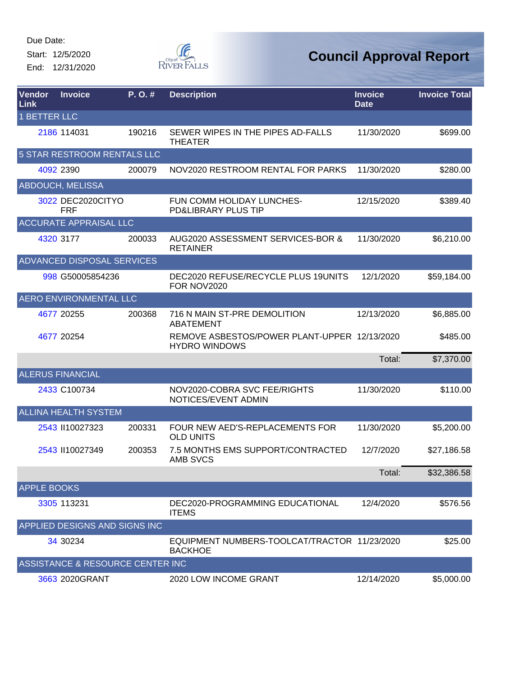Start: 12/5/2020 End: 12/31/2020



| <b>Vendor</b><br><b>Link</b> | <b>Invoice</b>                   | P.O.#  | <b>Description</b>                                                   | <b>Invoice</b><br><b>Date</b> | <b>Invoice Total</b> |
|------------------------------|----------------------------------|--------|----------------------------------------------------------------------|-------------------------------|----------------------|
| <b>1 BETTER LLC</b>          |                                  |        |                                                                      |                               |                      |
|                              | 2186 114031                      | 190216 | SEWER WIPES IN THE PIPES AD-FALLS<br><b>THEATER</b>                  | 11/30/2020                    | \$699.00             |
|                              | 5 STAR RESTROOM RENTALS LLC      |        |                                                                      |                               |                      |
|                              | 4092 2390                        | 200079 | NOV2020 RESTROOM RENTAL FOR PARKS                                    | 11/30/2020                    | \$280.00             |
|                              | <b>ABDOUCH, MELISSA</b>          |        |                                                                      |                               |                      |
|                              | 3022 DEC2020CITYO<br><b>FRF</b>  |        | FUN COMM HOLIDAY LUNCHES-<br>PD&LIBRARY PLUS TIP                     | 12/15/2020                    | \$389.40             |
|                              | ACCURATE APPRAISAL LLC           |        |                                                                      |                               |                      |
|                              | 4320 3177                        | 200033 | AUG2020 ASSESSMENT SERVICES-BOR &<br><b>RETAINER</b>                 | 11/30/2020                    | \$6,210.00           |
|                              | ADVANCED DISPOSAL SERVICES       |        |                                                                      |                               |                      |
|                              | 998 G50005854236                 |        | DEC2020 REFUSE/RECYCLE PLUS 19UNITS<br>FOR NOV2020                   | 12/1/2020                     | \$59,184.00          |
|                              | <b>AERO ENVIRONMENTAL LLC</b>    |        |                                                                      |                               |                      |
|                              | 4677 20255                       | 200368 | 716 N MAIN ST-PRE DEMOLITION<br><b>ABATEMENT</b>                     | 12/13/2020                    | \$6,885.00           |
|                              | 4677 20254                       |        | REMOVE ASBESTOS/POWER PLANT-UPPER 12/13/2020<br><b>HYDRO WINDOWS</b> |                               | \$485.00             |
|                              |                                  |        |                                                                      | Total:                        | \$7,370.00           |
|                              | <b>ALERUS FINANCIAL</b>          |        |                                                                      |                               |                      |
|                              | 2433 C100734                     |        | NOV2020-COBRA SVC FEE/RIGHTS<br>NOTICES/EVENT ADMIN                  | 11/30/2020                    | \$110.00             |
|                              | <b>ALLINA HEALTH SYSTEM</b>      |        |                                                                      |                               |                      |
|                              | 2543 II10027323                  | 200331 | FOUR NEW AED'S-REPLACEMENTS FOR<br><b>OLD UNITS</b>                  | 11/30/2020                    | \$5,200.00           |
|                              | 2543 II10027349                  | 200353 | 7.5 MONTHS EMS SUPPORT/CONTRACTED<br>AMB SVCS                        | 12/7/2020                     | \$27,186.58          |
|                              |                                  |        |                                                                      | Total:                        | \$32,386.58          |
| <b>APPLE BOOKS</b>           |                                  |        |                                                                      |                               |                      |
|                              | 3305 113231                      |        | DEC2020-PROGRAMMING EDUCATIONAL<br><b>ITEMS</b>                      | 12/4/2020                     | \$576.56             |
|                              | APPLIED DESIGNS AND SIGNS INC    |        |                                                                      |                               |                      |
|                              | 34 30234                         |        | EQUIPMENT NUMBERS-TOOLCAT/TRACTOR 11/23/2020<br><b>BACKHOE</b>       |                               | \$25.00              |
|                              | ASSISTANCE & RESOURCE CENTER INC |        |                                                                      |                               |                      |
|                              | 3663 2020GRANT                   |        | 2020 LOW INCOME GRANT                                                | 12/14/2020                    | \$5,000.00           |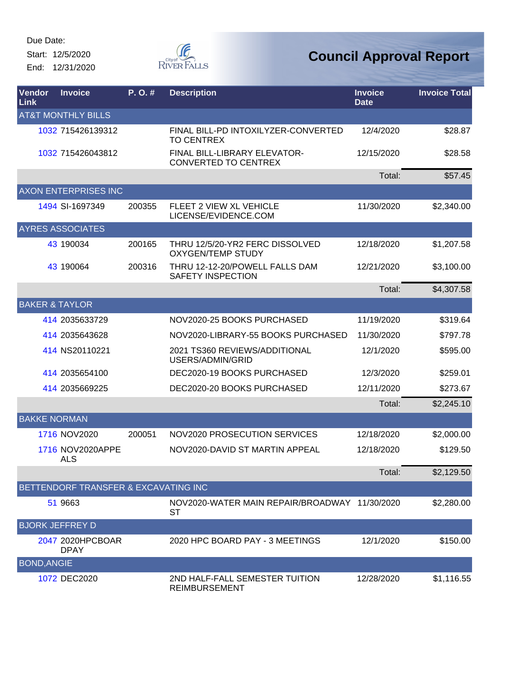Start: 12/5/2020 End: 12/31/2020



| <b>Vendor</b><br>Link     | <b>Invoice</b>                       | P. O. # | <b>Description</b>                                          | <b>Invoice</b><br><b>Date</b> | <b>Invoice Total</b> |
|---------------------------|--------------------------------------|---------|-------------------------------------------------------------|-------------------------------|----------------------|
|                           | <b>AT&amp;T MONTHLY BILLS</b>        |         |                                                             |                               |                      |
|                           | 1032 715426139312                    |         | FINAL BILL-PD INTOXILYZER-CONVERTED<br><b>TO CENTREX</b>    | 12/4/2020                     | \$28.87              |
|                           | 1032 715426043812                    |         | FINAL BILL-LIBRARY ELEVATOR-<br><b>CONVERTED TO CENTREX</b> | 12/15/2020                    | \$28.58              |
|                           |                                      |         |                                                             | Total:                        | \$57.45              |
|                           | <b>AXON ENTERPRISES INC</b>          |         |                                                             |                               |                      |
|                           | 1494 SI-1697349                      | 200355  | <b>FLEET 2 VIEW XL VEHICLE</b><br>LICENSE/EVIDENCE.COM      | 11/30/2020                    | \$2,340.00           |
|                           | <b>AYRES ASSOCIATES</b>              |         |                                                             |                               |                      |
|                           | 43 190034                            | 200165  | THRU 12/5/20-YR2 FERC DISSOLVED<br><b>OXYGEN/TEMP STUDY</b> | 12/18/2020                    | \$1,207.58           |
|                           | 43 190064                            | 200316  | THRU 12-12-20/POWELL FALLS DAM<br><b>SAFETY INSPECTION</b>  | 12/21/2020                    | \$3,100.00           |
|                           |                                      |         |                                                             | Total:                        | \$4,307.58           |
| <b>BAKER &amp; TAYLOR</b> |                                      |         |                                                             |                               |                      |
|                           | 414 2035633729                       |         | NOV2020-25 BOOKS PURCHASED                                  | 11/19/2020                    | \$319.64             |
|                           | 414 2035643628                       |         | NOV2020-LIBRARY-55 BOOKS PURCHASED                          | 11/30/2020                    | \$797.78             |
|                           | 414 NS20110221                       |         | 2021 TS360 REVIEWS/ADDITIONAL<br>USERS/ADMIN/GRID           | 12/1/2020                     | \$595.00             |
|                           | 414 2035654100                       |         | DEC2020-19 BOOKS PURCHASED                                  | 12/3/2020                     | \$259.01             |
|                           | 414 2035669225                       |         | DEC2020-20 BOOKS PURCHASED                                  | 12/11/2020                    | \$273.67             |
|                           |                                      |         |                                                             | Total:                        | \$2,245.10           |
| <b>BAKKE NORMAN</b>       |                                      |         |                                                             |                               |                      |
|                           | 1716 NOV2020                         | 200051  | NOV2020 PROSECUTION SERVICES                                | 12/18/2020                    | \$2,000.00           |
|                           | 1716 NOV2020APPE<br><b>ALS</b>       |         | NOV2020-DAVID ST MARTIN APPEAL                              | 12/18/2020                    | \$129.50             |
|                           |                                      |         |                                                             | Total:                        | \$2,129.50           |
|                           | BETTENDORF TRANSFER & EXCAVATING INC |         |                                                             |                               |                      |
|                           | 51 9663                              |         | NOV2020-WATER MAIN REPAIR/BROADWAY 11/30/2020<br><b>ST</b>  |                               | \$2,280.00           |
|                           | <b>BJORK JEFFREY D</b>               |         |                                                             |                               |                      |
|                           | 2047 2020HPCBOAR<br><b>DPAY</b>      |         | 2020 HPC BOARD PAY - 3 MEETINGS                             | 12/1/2020                     | \$150.00             |
| <b>BOND, ANGIE</b>        |                                      |         |                                                             |                               |                      |
|                           | 1072 DEC2020                         |         | 2ND HALF-FALL SEMESTER TUITION<br><b>REIMBURSEMENT</b>      | 12/28/2020                    | \$1,116.55           |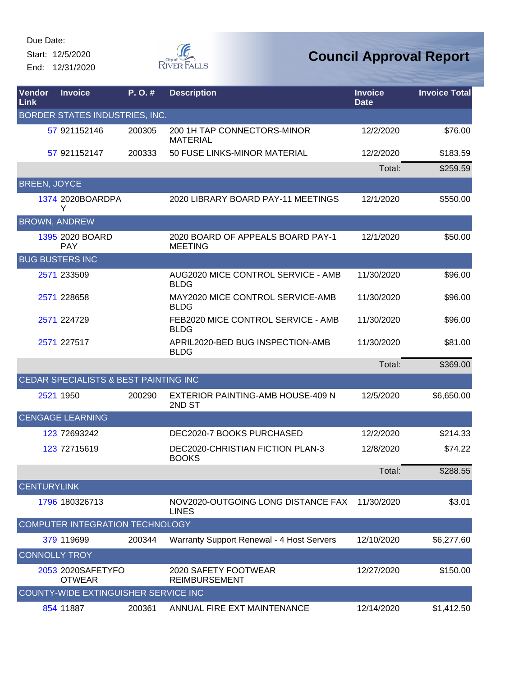Start: 12/5/2020 End: 12/31/2020



| <b>Vendor</b><br><b>Link</b> | <b>Invoice</b>                              | P. O. # | <b>Description</b>                                  | <b>Invoice</b><br><b>Date</b> | <b>Invoice Total</b> |
|------------------------------|---------------------------------------------|---------|-----------------------------------------------------|-------------------------------|----------------------|
|                              | BORDER STATES INDUSTRIES, INC.              |         |                                                     |                               |                      |
|                              | 57 921152146                                | 200305  | 200 1H TAP CONNECTORS-MINOR<br><b>MATERIAL</b>      | 12/2/2020                     | \$76.00              |
|                              | 57 921152147                                | 200333  | 50 FUSE LINKS-MINOR MATERIAL                        | 12/2/2020                     | \$183.59             |
|                              |                                             |         |                                                     | Total:                        | \$259.59             |
| <b>BREEN, JOYCE</b>          |                                             |         |                                                     |                               |                      |
|                              | 1374 2020BOARDPA<br>Y                       |         | 2020 LIBRARY BOARD PAY-11 MEETINGS                  | 12/1/2020                     | \$550.00             |
|                              | <b>BROWN, ANDREW</b>                        |         |                                                     |                               |                      |
|                              | 1395 2020 BOARD<br><b>PAY</b>               |         | 2020 BOARD OF APPEALS BOARD PAY-1<br><b>MEETING</b> | 12/1/2020                     | \$50.00              |
|                              | <b>BUG BUSTERS INC</b>                      |         |                                                     |                               |                      |
|                              | 2571 233509                                 |         | AUG2020 MICE CONTROL SERVICE - AMB<br><b>BLDG</b>   | 11/30/2020                    | \$96.00              |
|                              | 2571 228658                                 |         | MAY2020 MICE CONTROL SERVICE-AMB<br><b>BLDG</b>     | 11/30/2020                    | \$96.00              |
|                              | 2571 224729                                 |         | FEB2020 MICE CONTROL SERVICE - AMB<br><b>BLDG</b>   | 11/30/2020                    | \$96.00              |
|                              | 2571 227517                                 |         | APRIL2020-BED BUG INSPECTION-AMB<br><b>BLDG</b>     | 11/30/2020                    | \$81.00              |
|                              |                                             |         |                                                     | Total:                        | \$369.00             |
|                              | CEDAR SPECIALISTS & BEST PAINTING INC       |         |                                                     |                               |                      |
|                              | 2521 1950                                   | 200290  | EXTERIOR PAINTING-AMB HOUSE-409 N<br>2ND ST         | 12/5/2020                     | \$6,650.00           |
|                              | <b>CENGAGE LEARNING</b>                     |         |                                                     |                               |                      |
|                              | 123 72693242                                |         | DEC2020-7 BOOKS PURCHASED                           | 12/2/2020                     | \$214.33             |
|                              | 123 72715619                                |         | DEC2020-CHRISTIAN FICTION PLAN-3<br><b>BOOKS</b>    | 12/8/2020                     | \$74.22              |
|                              |                                             |         |                                                     | Total:                        | \$288.55             |
| <b>CENTURYLINK</b>           |                                             |         |                                                     |                               |                      |
|                              | 1796 180326713                              |         | NOV2020-OUTGOING LONG DISTANCE FAX<br><b>LINES</b>  | 11/30/2020                    | \$3.01               |
|                              | COMPUTER INTEGRATION TECHNOLOGY             |         |                                                     |                               |                      |
|                              | 379 119699                                  | 200344  | Warranty Support Renewal - 4 Host Servers           | 12/10/2020                    | \$6,277.60           |
|                              | <b>CONNOLLY TROY</b>                        |         |                                                     |                               |                      |
|                              | 2053 2020SAFETYFO<br><b>OTWEAR</b>          |         | 2020 SAFETY FOOTWEAR<br><b>REIMBURSEMENT</b>        | 12/27/2020                    | \$150.00             |
|                              | <b>COUNTY-WIDE EXTINGUISHER SERVICE INC</b> |         |                                                     |                               |                      |
|                              | 854 11887                                   | 200361  | ANNUAL FIRE EXT MAINTENANCE                         | 12/14/2020                    | \$1,412.50           |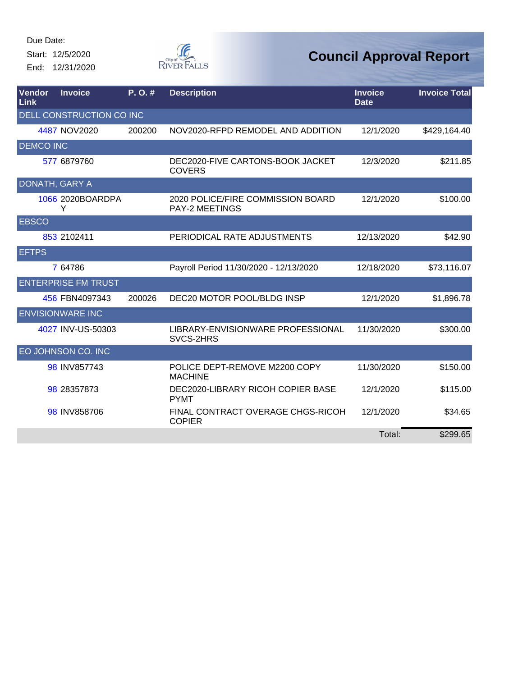Start: 12/5/2020 End: 12/31/2020



| Vendor<br>Link   | <b>Invoice</b>             | P. O. # | <b>Description</b>                                         | <b>Invoice</b><br><b>Date</b> | <b>Invoice Total</b> |
|------------------|----------------------------|---------|------------------------------------------------------------|-------------------------------|----------------------|
|                  | DELL CONSTRUCTION CO INC   |         |                                                            |                               |                      |
|                  | 4487 NOV2020               | 200200  | NOV2020-RFPD REMODEL AND ADDITION                          | 12/1/2020                     | \$429,164.40         |
| <b>DEMCO INC</b> |                            |         |                                                            |                               |                      |
|                  | 577 6879760                |         | DEC2020-FIVE CARTONS-BOOK JACKET<br><b>COVERS</b>          | 12/3/2020                     | \$211.85             |
| DONATH, GARY A   |                            |         |                                                            |                               |                      |
|                  | 1066 2020BOARDPA<br>Y      |         | 2020 POLICE/FIRE COMMISSION BOARD<br><b>PAY-2 MEETINGS</b> | 12/1/2020                     | \$100.00             |
| <b>EBSCO</b>     |                            |         |                                                            |                               |                      |
|                  | 853 2102411                |         | PERIODICAL RATE ADJUSTMENTS                                | 12/13/2020                    | \$42.90              |
| <b>EFTPS</b>     |                            |         |                                                            |                               |                      |
|                  | 7 64786                    |         | Payroll Period 11/30/2020 - 12/13/2020                     | 12/18/2020                    | \$73,116.07          |
|                  | <b>ENTERPRISE FM TRUST</b> |         |                                                            |                               |                      |
|                  | 456 FBN4097343             | 200026  | DEC20 MOTOR POOL/BLDG INSP                                 | 12/1/2020                     | \$1,896.78           |
|                  | <b>ENVISIONWARE INC</b>    |         |                                                            |                               |                      |
|                  | 4027 INV-US-50303          |         | LIBRARY-ENVISIONWARE PROFESSIONAL<br>SVCS-2HRS             | 11/30/2020                    | \$300.00             |
|                  | EO JOHNSON CO. INC         |         |                                                            |                               |                      |
|                  | 98 INV857743               |         | POLICE DEPT-REMOVE M2200 COPY<br><b>MACHINE</b>            | 11/30/2020                    | \$150.00             |
|                  | 98 28357873                |         | DEC2020-LIBRARY RICOH COPIER BASE<br><b>PYMT</b>           | 12/1/2020                     | \$115.00             |
|                  | 98 INV858706               |         | FINAL CONTRACT OVERAGE CHGS-RICOH<br><b>COPIER</b>         | 12/1/2020                     | \$34.65              |
|                  |                            |         |                                                            | Total:                        | \$299.65             |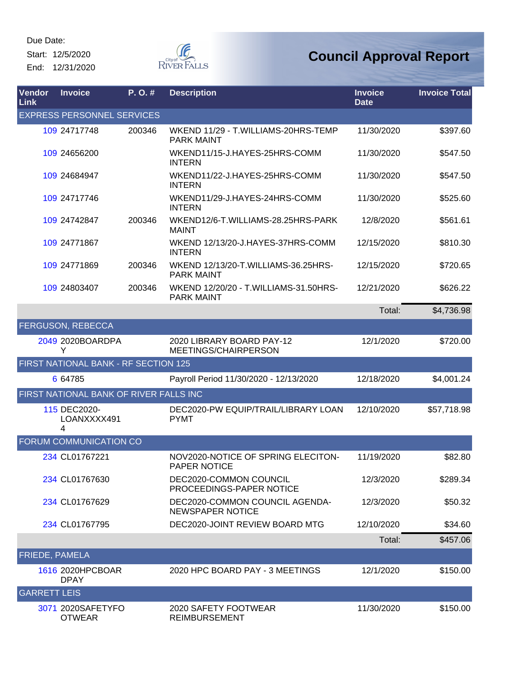Start: 12/5/2020 End: 12/31/2020



| Vendor<br>Link        | <b>Invoice</b>                         | P. O. # | <b>Description</b>                                         | <b>Invoice</b><br><b>Date</b> | <b>Invoice Total</b> |
|-----------------------|----------------------------------------|---------|------------------------------------------------------------|-------------------------------|----------------------|
|                       | <b>EXPRESS PERSONNEL SERVICES</b>      |         |                                                            |                               |                      |
|                       | 109 24717748                           | 200346  | WKEND 11/29 - T.WILLIAMS-20HRS-TEMP<br><b>PARK MAINT</b>   | 11/30/2020                    | \$397.60             |
|                       | 109 24656200                           |         | WKEND11/15-J.HAYES-25HRS-COMM<br><b>INTERN</b>             | 11/30/2020                    | \$547.50             |
|                       | 109 24684947                           |         | WKEND11/22-J.HAYES-25HRS-COMM<br><b>INTERN</b>             | 11/30/2020                    | \$547.50             |
|                       | 109 24717746                           |         | WKEND11/29-J.HAYES-24HRS-COMM<br><b>INTERN</b>             | 11/30/2020                    | \$525.60             |
|                       | 109 24742847                           | 200346  | WKEND12/6-T.WILLIAMS-28.25HRS-PARK<br><b>MAINT</b>         | 12/8/2020                     | \$561.61             |
|                       | 109 24771867                           |         | WKEND 12/13/20-J.HAYES-37HRS-COMM<br><b>INTERN</b>         | 12/15/2020                    | \$810.30             |
|                       | 109 24771869                           | 200346  | WKEND 12/13/20-T.WILLIAMS-36.25HRS-<br><b>PARK MAINT</b>   | 12/15/2020                    | \$720.65             |
|                       | 109 24803407                           | 200346  | WKEND 12/20/20 - T.WILLIAMS-31.50HRS-<br><b>PARK MAINT</b> | 12/21/2020                    | \$626.22             |
|                       |                                        |         |                                                            | Total:                        | \$4,736.98           |
|                       | <b>FERGUSON, REBECCA</b>               |         |                                                            |                               |                      |
|                       | 2049 2020BOARDPA<br>Y                  |         | 2020 LIBRARY BOARD PAY-12<br>MEETINGS/CHAIRPERSON          | 12/1/2020                     | \$720.00             |
|                       | FIRST NATIONAL BANK - RF SECTION 125   |         |                                                            |                               |                      |
|                       | 6 64785                                |         | Payroll Period 11/30/2020 - 12/13/2020                     | 12/18/2020                    | \$4,001.24           |
|                       | FIRST NATIONAL BANK OF RIVER FALLS INC |         |                                                            |                               |                      |
|                       | 115 DEC2020-<br>LOANXXXX491<br>4       |         | DEC2020-PW EQUIP/TRAIL/LIBRARY LOAN<br><b>PYMT</b>         | 12/10/2020                    | \$57,718.98          |
|                       | FORUM COMMUNICATION CO                 |         |                                                            |                               |                      |
|                       | 234 CL01767221                         |         | NOV2020-NOTICE OF SPRING ELECITON-<br>PAPER NOTICE         | 11/19/2020                    | \$82.80              |
|                       | 234 CL01767630                         |         | DEC2020-COMMON COUNCIL<br>PROCEEDINGS-PAPER NOTICE         | 12/3/2020                     | \$289.34             |
|                       | 234 CL01767629                         |         | DEC2020-COMMON COUNCIL AGENDA-<br><b>NEWSPAPER NOTICE</b>  | 12/3/2020                     | \$50.32              |
|                       | 234 CL01767795                         |         | DEC2020-JOINT REVIEW BOARD MTG                             | 12/10/2020                    | \$34.60              |
|                       |                                        |         |                                                            | Total:                        | \$457.06             |
| <b>FRIEDE, PAMELA</b> |                                        |         |                                                            |                               |                      |
|                       | 1616 2020HPCBOAR<br><b>DPAY</b>        |         | 2020 HPC BOARD PAY - 3 MEETINGS                            | 12/1/2020                     | \$150.00             |
| <b>GARRETT LEIS</b>   |                                        |         |                                                            |                               |                      |
|                       | 3071 2020SAFETYFO<br><b>OTWEAR</b>     |         | 2020 SAFETY FOOTWEAR<br><b>REIMBURSEMENT</b>               | 11/30/2020                    | \$150.00             |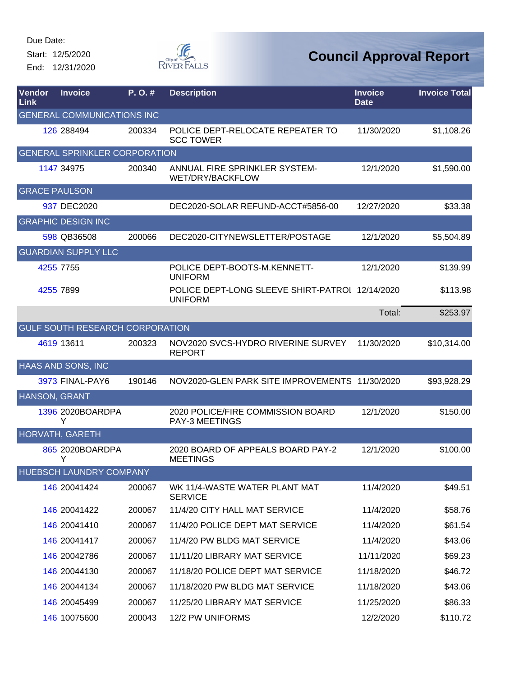Start: 12/5/2020 End: 12/31/2020



| Vendor<br>Link       | <b>Invoice</b>                       | P.O.#  | <b>Description</b>                                                | <b>Invoice</b><br><b>Date</b> | <b>Invoice Total</b> |
|----------------------|--------------------------------------|--------|-------------------------------------------------------------------|-------------------------------|----------------------|
|                      | <b>GENERAL COMMUNICATIONS INC</b>    |        |                                                                   |                               |                      |
|                      | 126 288494                           | 200334 | POLICE DEPT-RELOCATE REPEATER TO<br><b>SCC TOWER</b>              | 11/30/2020                    | \$1,108.26           |
|                      | <b>GENERAL SPRINKLER CORPORATION</b> |        |                                                                   |                               |                      |
|                      | 1147 34975                           | 200340 | ANNUAL FIRE SPRINKLER SYSTEM-<br>WET/DRY/BACKFLOW                 | 12/1/2020                     | \$1,590.00           |
| <b>GRACE PAULSON</b> |                                      |        |                                                                   |                               |                      |
|                      | 937 DEC2020                          |        | DEC2020-SOLAR REFUND-ACCT#5856-00                                 | 12/27/2020                    | \$33.38              |
|                      | <b>GRAPHIC DESIGN INC</b>            |        |                                                                   |                               |                      |
|                      | 598 QB36508                          | 200066 | DEC2020-CITYNEWSLETTER/POSTAGE                                    | 12/1/2020                     | \$5,504.89           |
|                      | <b>GUARDIAN SUPPLY LLC</b>           |        |                                                                   |                               |                      |
|                      | 4255 7755                            |        | POLICE DEPT-BOOTS-M.KENNETT-<br><b>UNIFORM</b>                    | 12/1/2020                     | \$139.99             |
|                      | 4255 7899                            |        | POLICE DEPT-LONG SLEEVE SHIRT-PATROL 12/14/2020<br><b>UNIFORM</b> |                               | \$113.98             |
|                      |                                      |        |                                                                   | Total:                        | \$253.97             |
|                      | GULF SOUTH RESEARCH CORPORATION      |        |                                                                   |                               |                      |
|                      | 4619 13611                           | 200323 | NOV2020 SVCS-HYDRO RIVERINE SURVEY<br><b>REPORT</b>               | 11/30/2020                    | \$10,314.00          |
|                      | HAAS AND SONS, INC                   |        |                                                                   |                               |                      |
|                      | 3973 FINAL-PAY6                      | 190146 | NOV2020-GLEN PARK SITE IMPROVEMENTS 11/30/2020                    |                               | \$93,928.29          |
| HANSON, GRANT        |                                      |        |                                                                   |                               |                      |
|                      | 1396 2020BOARDPA<br>Y                |        | 2020 POLICE/FIRE COMMISSION BOARD<br><b>PAY-3 MEETINGS</b>        | 12/1/2020                     | \$150.00             |
|                      | <b>HORVATH, GARETH</b>               |        |                                                                   |                               |                      |
|                      | 865 2020BOARDPA<br>Y                 |        | 2020 BOARD OF APPEALS BOARD PAY-2<br><b>MEETINGS</b>              | 12/1/2020                     | \$100.00             |
|                      | HUEBSCH LAUNDRY COMPANY              |        |                                                                   |                               |                      |
|                      | 146 20041424                         | 200067 | WK 11/4-WASTE WATER PLANT MAT<br><b>SERVICE</b>                   | 11/4/2020                     | \$49.51              |
|                      | 146 20041422                         | 200067 | 11/4/20 CITY HALL MAT SERVICE                                     | 11/4/2020                     | \$58.76              |
|                      | 146 20041410                         | 200067 | 11/4/20 POLICE DEPT MAT SERVICE                                   | 11/4/2020                     | \$61.54              |
|                      | 146 20041417                         | 200067 | 11/4/20 PW BLDG MAT SERVICE                                       | 11/4/2020                     | \$43.06              |
|                      | 146 20042786                         | 200067 | 11/11/20 LIBRARY MAT SERVICE                                      | 11/11/2020                    | \$69.23              |
|                      | 146 20044130                         | 200067 | 11/18/20 POLICE DEPT MAT SERVICE                                  | 11/18/2020                    | \$46.72              |
|                      | 146 20044134                         | 200067 | 11/18/2020 PW BLDG MAT SERVICE                                    | 11/18/2020                    | \$43.06              |
|                      | 146 20045499                         | 200067 | 11/25/20 LIBRARY MAT SERVICE                                      | 11/25/2020                    | \$86.33              |
|                      | 146 10075600                         | 200043 | 12/2 PW UNIFORMS                                                  | 12/2/2020                     | \$110.72             |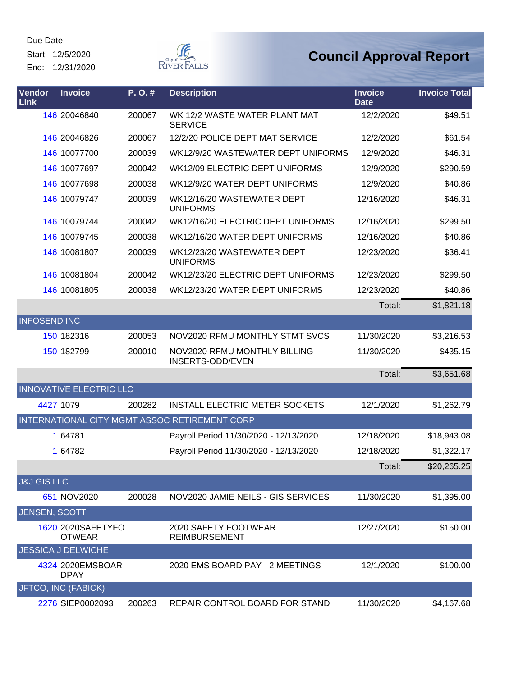Start: 12/5/2020

End: 12/31/2020



| Vendor<br>Link         | <b>Invoice</b>                     | P.O.#  | <b>Description</b>                               | <b>Invoice</b><br><b>Date</b> | <b>Invoice Total</b> |
|------------------------|------------------------------------|--------|--------------------------------------------------|-------------------------------|----------------------|
|                        | 146 20046840                       | 200067 | WK 12/2 WASTE WATER PLANT MAT<br><b>SERVICE</b>  | 12/2/2020                     | \$49.51              |
|                        | 146 20046826                       | 200067 | 12/2/20 POLICE DEPT MAT SERVICE                  | 12/2/2020                     | \$61.54              |
|                        | 146 10077700                       | 200039 | WK12/9/20 WASTEWATER DEPT UNIFORMS               | 12/9/2020                     | \$46.31              |
|                        | 146 10077697                       | 200042 | WK12/09 ELECTRIC DEPT UNIFORMS                   | 12/9/2020                     | \$290.59             |
|                        | 146 10077698                       | 200038 | WK12/9/20 WATER DEPT UNIFORMS                    | 12/9/2020                     | \$40.86              |
|                        | 146 10079747                       | 200039 | WK12/16/20 WASTEWATER DEPT<br><b>UNIFORMS</b>    | 12/16/2020                    | \$46.31              |
|                        | 146 10079744                       | 200042 | WK12/16/20 ELECTRIC DEPT UNIFORMS                | 12/16/2020                    | \$299.50             |
|                        | 146 10079745                       | 200038 | WK12/16/20 WATER DEPT UNIFORMS                   | 12/16/2020                    | \$40.86              |
|                        | 146 10081807                       | 200039 | WK12/23/20 WASTEWATER DEPT<br><b>UNIFORMS</b>    | 12/23/2020                    | \$36.41              |
|                        | 146 10081804                       | 200042 | WK12/23/20 ELECTRIC DEPT UNIFORMS                | 12/23/2020                    | \$299.50             |
|                        | 146 10081805                       | 200038 | WK12/23/20 WATER DEPT UNIFORMS                   | 12/23/2020                    | \$40.86              |
|                        |                                    |        |                                                  | Total:                        | \$1,821.18           |
| <b>INFOSEND INC</b>    |                                    |        |                                                  |                               |                      |
|                        | 150 182316                         | 200053 | NOV2020 RFMU MONTHLY STMT SVCS                   | 11/30/2020                    | \$3,216.53           |
|                        | 150 182799                         | 200010 | NOV2020 RFMU MONTHLY BILLING<br>INSERTS-ODD/EVEN | 11/30/2020                    | \$435.15             |
|                        |                                    |        |                                                  | Total:                        | \$3,651.68           |
|                        | <b>INNOVATIVE ELECTRIC LLC</b>     |        |                                                  |                               |                      |
|                        | 4427 1079                          | 200282 | <b>INSTALL ELECTRIC METER SOCKETS</b>            | 12/1/2020                     | \$1,262.79           |
|                        |                                    |        | INTERNATIONAL CITY MGMT ASSOC RETIREMENT CORP    |                               |                      |
|                        | 1 64781                            |        | Payroll Period 11/30/2020 - 12/13/2020           | 12/18/2020                    | \$18,943.08          |
|                        | 1 64782                            |        | Payroll Period 11/30/2020 - 12/13/2020           | 12/18/2020                    | \$1,322.17           |
|                        |                                    |        |                                                  | Total:                        | \$20,265.25          |
| <b>J&amp;J GIS LLC</b> |                                    |        |                                                  |                               |                      |
|                        | 651 NOV2020                        | 200028 | NOV2020 JAMIE NEILS - GIS SERVICES               | 11/30/2020                    | \$1,395.00           |
| <b>JENSEN, SCOTT</b>   |                                    |        |                                                  |                               |                      |
|                        | 1620 2020SAFETYFO<br><b>OTWEAR</b> |        | 2020 SAFETY FOOTWEAR<br><b>REIMBURSEMENT</b>     | 12/27/2020                    | \$150.00             |
|                        | <b>JESSICA J DELWICHE</b>          |        |                                                  |                               |                      |
|                        | 4324 2020 EMSBOAR<br><b>DPAY</b>   |        | 2020 EMS BOARD PAY - 2 MEETINGS                  | 12/1/2020                     | \$100.00             |
|                        | JFTCO, INC (FABICK)                |        |                                                  |                               |                      |
|                        | 2276 SIEP0002093                   | 200263 | REPAIR CONTROL BOARD FOR STAND                   | 11/30/2020                    | \$4,167.68           |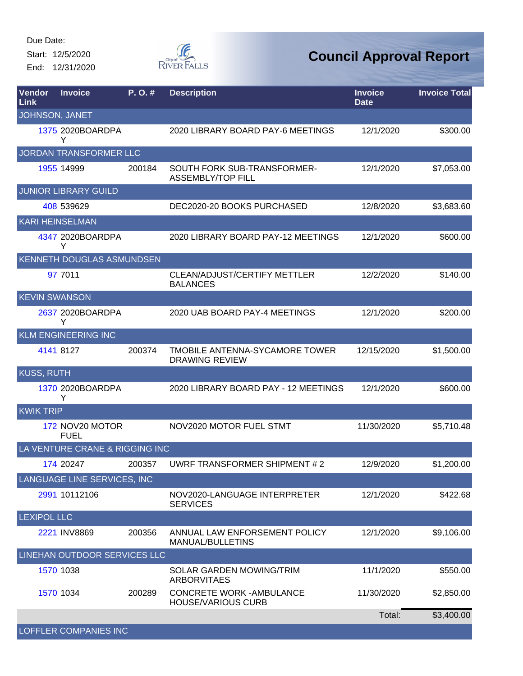Start: 12/5/2020 End: 12/31/2020



| Vendor<br>Link       | <b>Invoice</b>                         | P. O. # | <b>Description</b>                                            | <b>Invoice</b><br><b>Date</b> | <b>Invoice Total</b> |
|----------------------|----------------------------------------|---------|---------------------------------------------------------------|-------------------------------|----------------------|
| JOHNSON, JANET       |                                        |         |                                                               |                               |                      |
|                      | 1375 2020BOARDPA<br>Y                  |         | 2020 LIBRARY BOARD PAY-6 MEETINGS                             | 12/1/2020                     | \$300.00             |
|                      | JORDAN TRANSFORMER LLC                 |         |                                                               |                               |                      |
|                      | 1955 14999                             | 200184  | SOUTH FORK SUB-TRANSFORMER-<br><b>ASSEMBLY/TOP FILL</b>       | 12/1/2020                     | \$7,053.00           |
|                      | <b>JUNIOR LIBRARY GUILD</b>            |         |                                                               |                               |                      |
|                      | 408 539629                             |         | DEC2020-20 BOOKS PURCHASED                                    | 12/8/2020                     | \$3,683.60           |
|                      | <b>KARI HEINSELMAN</b>                 |         |                                                               |                               |                      |
|                      | 4347 2020BOARDPA<br>Y                  |         | 2020 LIBRARY BOARD PAY-12 MEETINGS                            | 12/1/2020                     | \$600.00             |
|                      | <b>KENNETH DOUGLAS ASMUNDSEN</b>       |         |                                                               |                               |                      |
|                      | 97 7011                                |         | <b>CLEAN/ADJUST/CERTIFY METTLER</b><br><b>BALANCES</b>        | 12/2/2020                     | \$140.00             |
| <b>KEVIN SWANSON</b> |                                        |         |                                                               |                               |                      |
|                      | 2637 2020BOARDPA<br>Υ                  |         | 2020 UAB BOARD PAY-4 MEETINGS                                 | 12/1/2020                     | \$200.00             |
|                      | <b>KLM ENGINEERING INC</b>             |         |                                                               |                               |                      |
|                      | 4141 8127                              | 200374  | TMOBILE ANTENNA-SYCAMORE TOWER<br><b>DRAWING REVIEW</b>       | 12/15/2020                    | \$1,500.00           |
| <b>KUSS, RUTH</b>    |                                        |         |                                                               |                               |                      |
|                      | 1370 2020BOARDPA<br>Y                  |         | 2020 LIBRARY BOARD PAY - 12 MEETINGS                          | 12/1/2020                     | \$600.00             |
| <b>KWIK TRIP</b>     |                                        |         |                                                               |                               |                      |
|                      | 172 NOV20 MOTOR<br><b>FUEL</b>         |         | NOV2020 MOTOR FUEL STMT                                       | 11/30/2020                    | \$5,710.48           |
|                      | <b>VENTURE CRANE &amp; RIGGING INC</b> |         |                                                               |                               |                      |
|                      | 174 20247                              | 200357  | UWRF TRANSFORMER SHIPMENT # 2                                 | 12/9/2020                     | \$1,200.00           |
|                      | LANGUAGE LINE SERVICES, INC            |         |                                                               |                               |                      |
|                      | 2991 10112106                          |         | NOV2020-LANGUAGE INTERPRETER<br><b>SERVICES</b>               | 12/1/2020                     | \$422.68             |
| <b>LEXIPOL LLC</b>   |                                        |         |                                                               |                               |                      |
|                      | 2221 INV8869                           | 200356  | ANNUAL LAW ENFORSEMENT POLICY<br>MANUAL/BULLETINS             | 12/1/2020                     | \$9,106.00           |
|                      | LINEHAN OUTDOOR SERVICES LLC           |         |                                                               |                               |                      |
|                      | 1570 1038                              |         | SOLAR GARDEN MOWING/TRIM<br><b>ARBORVITAES</b>                | 11/1/2020                     | \$550.00             |
|                      | 1570 1034                              | 200289  | <b>CONCRETE WORK - AMBULANCE</b><br><b>HOUSE/VARIOUS CURB</b> | 11/30/2020                    | \$2,850.00           |
|                      |                                        |         |                                                               | Total:                        | \$3,400.00           |
|                      | <b>LOFFLER COMPANIES INC</b>           |         |                                                               |                               |                      |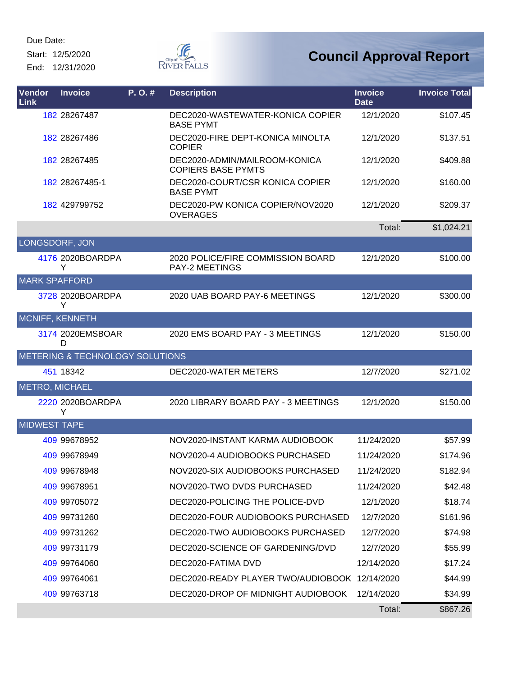Start: 12/5/2020 End: 12/31/2020



| Vendor<br>Link         | <b>Invoice</b>                  | P. O. # | <b>Description</b>                                         | <b>Invoice</b><br><b>Date</b> | <b>Invoice Total</b> |
|------------------------|---------------------------------|---------|------------------------------------------------------------|-------------------------------|----------------------|
|                        | 182 28267487                    |         | DEC2020-WASTEWATER-KONICA COPIER<br><b>BASE PYMT</b>       | 12/1/2020                     | \$107.45             |
|                        | 182 28267486                    |         | DEC2020-FIRE DEPT-KONICA MINOLTA<br><b>COPIER</b>          | 12/1/2020                     | \$137.51             |
|                        | 182 28267485                    |         | DEC2020-ADMIN/MAILROOM-KONICA<br><b>COPIERS BASE PYMTS</b> | 12/1/2020                     | \$409.88             |
|                        | 182 28267485-1                  |         | DEC2020-COURT/CSR KONICA COPIER<br><b>BASE PYMT</b>        | 12/1/2020                     | \$160.00             |
|                        | 182 429799752                   |         | DEC2020-PW KONICA COPIER/NOV2020<br><b>OVERAGES</b>        | 12/1/2020                     | \$209.37             |
|                        |                                 |         |                                                            | Total:                        | \$1,024.21           |
| LONGSDORF, JON         |                                 |         |                                                            |                               |                      |
|                        | 4176 2020BOARDPA<br>Y           |         | 2020 POLICE/FIRE COMMISSION BOARD<br><b>PAY-2 MEETINGS</b> | 12/1/2020                     | \$100.00             |
| <b>MARK SPAFFORD</b>   |                                 |         |                                                            |                               |                      |
|                        | 3728 2020BOARDPA<br>Y           |         | 2020 UAB BOARD PAY-6 MEETINGS                              | 12/1/2020                     | \$300.00             |
| <b>MCNIFF, KENNETH</b> |                                 |         |                                                            |                               |                      |
|                        | 3174 2020 EMSBOAR<br>D          |         | 2020 EMS BOARD PAY - 3 MEETINGS                            | 12/1/2020                     | \$150.00             |
|                        | METERING & TECHNOLOGY SOLUTIONS |         |                                                            |                               |                      |
|                        | 451 18342                       |         | DEC2020-WATER METERS                                       | 12/7/2020                     | \$271.02             |
| <b>METRO, MICHAEL</b>  |                                 |         |                                                            |                               |                      |
|                        | 2220 2020BOARDPA<br>Y           |         | 2020 LIBRARY BOARD PAY - 3 MEETINGS                        | 12/1/2020                     | \$150.00             |
| <b>MIDWEST TAPE</b>    |                                 |         |                                                            |                               |                      |
|                        | 409 99678952                    |         | NOV2020-INSTANT KARMA AUDIOBOOK                            | 11/24/2020                    | \$57.99              |
|                        | 409 99678949                    |         | NOV2020-4 AUDIOBOOKS PURCHASED                             | 11/24/2020                    | \$174.96             |
|                        | 409 99678948                    |         | NOV2020-SIX AUDIOBOOKS PURCHASED                           | 11/24/2020                    | \$182.94             |
|                        | 409 99678951                    |         | NOV2020-TWO DVDS PURCHASED                                 | 11/24/2020                    | \$42.48              |
|                        | 409 99705072                    |         | DEC2020-POLICING THE POLICE-DVD                            | 12/1/2020                     | \$18.74              |
|                        | 409 99731260                    |         | DEC2020-FOUR AUDIOBOOKS PURCHASED                          | 12/7/2020                     | \$161.96             |
|                        | 409 99731262                    |         | DEC2020-TWO AUDIOBOOKS PURCHASED                           | 12/7/2020                     | \$74.98              |
|                        | 409 99731179                    |         | DEC2020-SCIENCE OF GARDENING/DVD                           | 12/7/2020                     | \$55.99              |
|                        | 409 99764060                    |         | DEC2020-FATIMA DVD                                         | 12/14/2020                    | \$17.24              |
|                        | 409 99764061                    |         | DEC2020-READY PLAYER TWO/AUDIOBOOK 12/14/2020              |                               | \$44.99              |
|                        | 409 99763718                    |         | DEC2020-DROP OF MIDNIGHT AUDIOBOOK                         | 12/14/2020                    | \$34.99              |
|                        |                                 |         |                                                            | Total:                        | \$867.26             |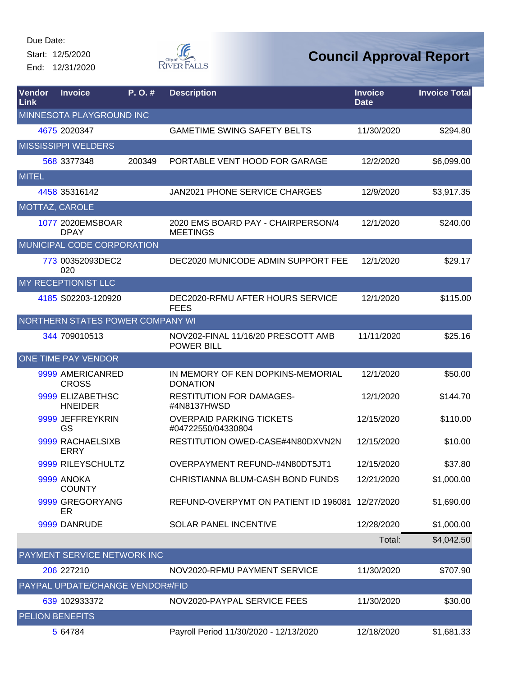Start: 12/5/2020 End: 12/31/2020



| Vendor<br>Link        | <b>Invoice</b>                     | $P. O.$ # | <b>Description</b>                                      | <b>Invoice</b><br><b>Date</b> | <b>Invoice Total</b> |
|-----------------------|------------------------------------|-----------|---------------------------------------------------------|-------------------------------|----------------------|
|                       | MINNESOTA PLAYGROUND INC           |           |                                                         |                               |                      |
|                       | 4675 2020347                       |           | <b>GAMETIME SWING SAFETY BELTS</b>                      | 11/30/2020                    | \$294.80             |
|                       | <b>MISSISSIPPI WELDERS</b>         |           |                                                         |                               |                      |
|                       | 568 3377348                        | 200349    | PORTABLE VENT HOOD FOR GARAGE                           | 12/2/2020                     | \$6,099.00           |
| <b>MITEL</b>          |                                    |           |                                                         |                               |                      |
|                       | 4458 35316142                      |           | <b>JAN2021 PHONE SERVICE CHARGES</b>                    | 12/9/2020                     | \$3,917.35           |
| <b>MOTTAZ, CAROLE</b> |                                    |           |                                                         |                               |                      |
|                       | 1077 2020EMSBOAR<br><b>DPAY</b>    |           | 2020 EMS BOARD PAY - CHAIRPERSON/4<br><b>MEETINGS</b>   | 12/1/2020                     | \$240.00             |
|                       | MUNICIPAL CODE CORPORATION         |           |                                                         |                               |                      |
|                       | 773 00352093DEC2<br>020            |           | DEC2020 MUNICODE ADMIN SUPPORT FEE                      | 12/1/2020                     | \$29.17              |
|                       | MY RECEPTIONIST LLC                |           |                                                         |                               |                      |
|                       | 4185 S02203-120920                 |           | DEC2020-RFMU AFTER HOURS SERVICE<br><b>FEES</b>         | 12/1/2020                     | \$115.00             |
|                       | NORTHERN STATES POWER COMPANY WI   |           |                                                         |                               |                      |
|                       | 344 709010513                      |           | NOV202-FINAL 11/16/20 PRESCOTT AMB<br><b>POWER BILL</b> | 11/11/2020                    | \$25.16              |
|                       | <b>ONE TIME PAY VENDOR</b>         |           |                                                         |                               |                      |
|                       | 9999 AMERICANRED<br><b>CROSS</b>   |           | IN MEMORY OF KEN DOPKINS-MEMORIAL<br><b>DONATION</b>    | 12/1/2020                     | \$50.00              |
|                       | 9999 ELIZABETHSC<br><b>HNEIDER</b> |           | <b>RESTITUTION FOR DAMAGES-</b><br>#4N8137HWSD          | 12/1/2020                     | \$144.70             |
|                       | 9999 JEFFREYKRIN<br>GS             |           | <b>OVERPAID PARKING TICKETS</b><br>#04722550/04330804   | 12/15/2020                    | \$110.00             |
|                       | 9999 RACHAELSIXB<br><b>ERRY</b>    |           | RESTITUTION OWED-CASE#4N80DXVN2N                        | 12/15/2020                    | \$10.00              |
|                       | 9999 RILEYSCHULTZ                  |           | OVERPAYMENT REFUND-#4N80DT5JT1                          | 12/15/2020                    | \$37.80              |
|                       | 9999 ANOKA<br><b>COUNTY</b>        |           | CHRISTIANNA BLUM-CASH BOND FUNDS                        | 12/21/2020                    | \$1,000.00           |
|                       | 9999 GREGORYANG<br>ER              |           | REFUND-OVERPYMT ON PATIENT ID 196081 12/27/2020         |                               | \$1,690.00           |
|                       | 9999 DANRUDE                       |           | SOLAR PANEL INCENTIVE                                   | 12/28/2020                    | \$1,000.00           |
|                       |                                    |           |                                                         | Total:                        | \$4,042.50           |
|                       | PAYMENT SERVICE NETWORK INC        |           |                                                         |                               |                      |
|                       | 206 227210                         |           | NOV2020-RFMU PAYMENT SERVICE                            | 11/30/2020                    | \$707.90             |
|                       | PAYPAL UPDATE/CHANGE VENDOR#/FID   |           |                                                         |                               |                      |
|                       | 639 102933372                      |           | NOV2020-PAYPAL SERVICE FEES                             | 11/30/2020                    | \$30.00              |
|                       | PELION BENEFITS                    |           |                                                         |                               |                      |
|                       | 5 64784                            |           | Payroll Period 11/30/2020 - 12/13/2020                  | 12/18/2020                    | \$1,681.33           |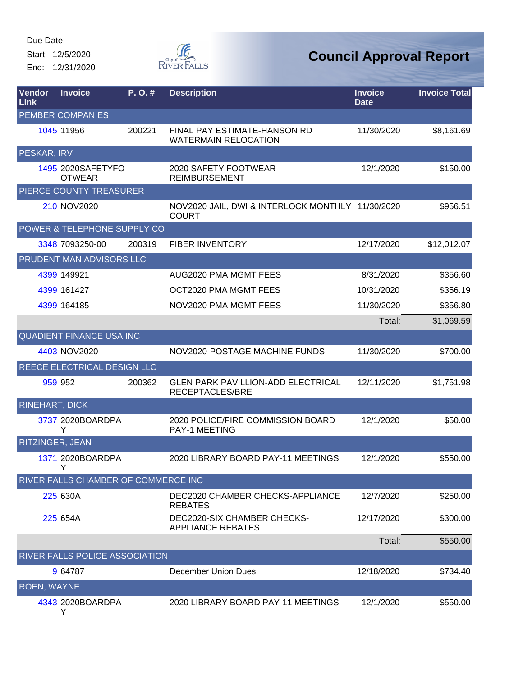Start: 12/5/2020 End: 12/31/2020



| Vendor<br>Link         | <b>Invoice</b>                      | P. O. # | <b>Description</b>                                               | <b>Invoice</b><br><b>Date</b> | <b>Invoice Total</b> |
|------------------------|-------------------------------------|---------|------------------------------------------------------------------|-------------------------------|----------------------|
|                        | <b>PEMBER COMPANIES</b>             |         |                                                                  |                               |                      |
|                        | 1045 11956                          | 200221  | FINAL PAY ESTIMATE-HANSON RD<br><b>WATERMAIN RELOCATION</b>      | 11/30/2020                    | \$8,161.69           |
| PESKAR, IRV            |                                     |         |                                                                  |                               |                      |
|                        | 1495 2020SAFETYFO<br><b>OTWEAR</b>  |         | 2020 SAFETY FOOTWEAR<br><b>REIMBURSEMENT</b>                     | 12/1/2020                     | \$150.00             |
|                        | PIERCE COUNTY TREASURER             |         |                                                                  |                               |                      |
|                        | 210 NOV2020                         |         | NOV2020 JAIL, DWI & INTERLOCK MONTHLY 11/30/2020<br><b>COURT</b> |                               | \$956.51             |
|                        | POWER & TELEPHONE SUPPLY CO         |         |                                                                  |                               |                      |
|                        | 3348 7093250-00                     | 200319  | <b>FIBER INVENTORY</b>                                           | 12/17/2020                    | \$12,012.07          |
|                        | PRUDENT MAN ADVISORS LLC            |         |                                                                  |                               |                      |
|                        | 4399 149921                         |         | AUG2020 PMA MGMT FEES                                            | 8/31/2020                     | \$356.60             |
|                        | 4399 161427                         |         | OCT2020 PMA MGMT FEES                                            | 10/31/2020                    | \$356.19             |
|                        | 4399 164185                         |         | NOV2020 PMA MGMT FEES                                            | 11/30/2020                    | \$356.80             |
|                        |                                     |         |                                                                  | Total:                        | \$1,069.59           |
|                        | <b>QUADIENT FINANCE USA INC</b>     |         |                                                                  |                               |                      |
|                        | 4403 NOV2020                        |         | NOV2020-POSTAGE MACHINE FUNDS                                    | 11/30/2020                    | \$700.00             |
|                        | REECE ELECTRICAL DESIGN LLC         |         |                                                                  |                               |                      |
|                        | 959 952                             | 200362  | <b>GLEN PARK PAVILLION-ADD ELECTRICAL</b><br>RECEPTACLES/BRE     | 12/11/2020                    | \$1,751.98           |
| RINEHART, DICK         |                                     |         |                                                                  |                               |                      |
|                        | 3737 2020BOARDPA<br>Y               |         | 2020 POLICE/FIRE COMMISSION BOARD<br>PAY-1 MEETING               | 12/1/2020                     | \$50.00              |
| <b>RITZINGER, JEAN</b> |                                     |         |                                                                  |                               |                      |
|                        | 1371 2020BOARDPA<br>Y               |         | 2020 LIBRARY BOARD PAY-11 MEETINGS                               | 12/1/2020                     | \$550.00             |
|                        | RIVER FALLS CHAMBER OF COMMERCE INC |         |                                                                  |                               |                      |
|                        | 225 630A                            |         | DEC2020 CHAMBER CHECKS-APPLIANCE<br><b>REBATES</b>               | 12/7/2020                     | \$250.00             |
|                        | 225 654A                            |         | DEC2020-SIX CHAMBER CHECKS-<br><b>APPLIANCE REBATES</b>          | 12/17/2020                    | \$300.00             |
|                        |                                     |         |                                                                  | Total:                        | \$550.00             |
|                        | RIVER FALLS POLICE ASSOCIATION      |         |                                                                  |                               |                      |
|                        | 9 64787                             |         | December Union Dues                                              | 12/18/2020                    | \$734.40             |
| <b>ROEN, WAYNE</b>     |                                     |         |                                                                  |                               |                      |
|                        | 4343 2020BOARDPA<br>Y               |         | 2020 LIBRARY BOARD PAY-11 MEETINGS                               | 12/1/2020                     | \$550.00             |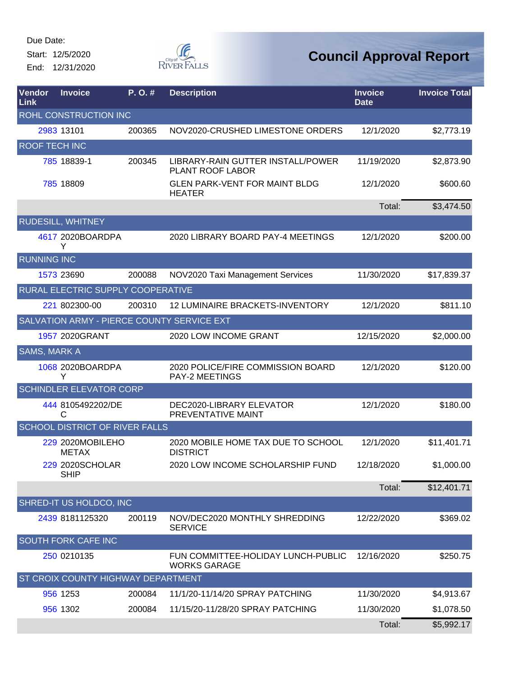Start: 12/5/2020 End: 12/31/2020



| Vendor<br>Link       | <b>Invoice</b>                             | P.O.#  | <b>Description</b>                                         | <b>Invoice</b><br><b>Date</b> | <b>Invoice Total</b> |
|----------------------|--------------------------------------------|--------|------------------------------------------------------------|-------------------------------|----------------------|
|                      | ROHL CONSTRUCTION INC                      |        |                                                            |                               |                      |
|                      | 2983 13101                                 | 200365 | NOV2020-CRUSHED LIMESTONE ORDERS                           | 12/1/2020                     | \$2,773.19           |
| <b>ROOF TECH INC</b> |                                            |        |                                                            |                               |                      |
|                      | 785 18839-1                                | 200345 | LIBRARY-RAIN GUTTER INSTALL/POWER<br>PLANT ROOF LABOR      | 11/19/2020                    | \$2,873.90           |
|                      | 785 18809                                  |        | <b>GLEN PARK-VENT FOR MAINT BLDG</b><br><b>HEATER</b>      | 12/1/2020                     | \$600.60             |
|                      |                                            |        |                                                            | Total:                        | \$3,474.50           |
|                      | <b>RUDESILL, WHITNEY</b>                   |        |                                                            |                               |                      |
|                      | 4617 2020BOARDPA<br>Y                      |        | 2020 LIBRARY BOARD PAY-4 MEETINGS                          | 12/1/2020                     | \$200.00             |
| <b>RUNNING INC</b>   |                                            |        |                                                            |                               |                      |
|                      | 1573 23690                                 | 200088 | NOV2020 Taxi Management Services                           | 11/30/2020                    | \$17,839.37          |
|                      | RURAL ELECTRIC SUPPLY COOPERATIVE          |        |                                                            |                               |                      |
|                      | 221 802300-00                              | 200310 | 12 LUMINAIRE BRACKETS-INVENTORY                            | 12/1/2020                     | \$811.10             |
|                      | SALVATION ARMY - PIERCE COUNTY SERVICE EXT |        |                                                            |                               |                      |
|                      | 1957 2020GRANT                             |        | 2020 LOW INCOME GRANT                                      | 12/15/2020                    | \$2,000.00           |
| <b>SAMS, MARK A</b>  |                                            |        |                                                            |                               |                      |
|                      | 1068 2020BOARDPA<br>Y                      |        | 2020 POLICE/FIRE COMMISSION BOARD<br><b>PAY-2 MEETINGS</b> | 12/1/2020                     | \$120.00             |
|                      | <b>SCHINDLER ELEVATOR CORP</b>             |        |                                                            |                               |                      |
|                      | 444 8105492202/DE<br>C                     |        | DEC2020-LIBRARY ELEVATOR<br>PREVENTATIVE MAINT             | 12/1/2020                     | \$180.00             |
|                      | <b>SCHOOL DISTRICT OF RIVER FALLS</b>      |        |                                                            |                               |                      |
|                      | 229 2020MOBILEHO<br><b>METAX</b>           |        | 2020 MOBILE HOME TAX DUE TO SCHOOL<br><b>DISTRICT</b>      | 12/1/2020                     | \$11,401.71          |
|                      | 229 2020SCHOLAR<br><b>SHIP</b>             |        | 2020 LOW INCOME SCHOLARSHIP FUND                           | 12/18/2020                    | \$1,000.00           |
|                      |                                            |        |                                                            | Total:                        | \$12,401.71          |
|                      | SHRED-IT US HOLDCO, INC                    |        |                                                            |                               |                      |
|                      | 2439 8181125320                            | 200119 | NOV/DEC2020 MONTHLY SHREDDING<br><b>SERVICE</b>            | 12/22/2020                    | \$369.02             |
|                      | <b>SOUTH FORK CAFE INC</b>                 |        |                                                            |                               |                      |
|                      | 250 0210135                                |        | FUN COMMITTEE-HOLIDAY LUNCH-PUBLIC<br><b>WORKS GARAGE</b>  | 12/16/2020                    | \$250.75             |
|                      | ST CROIX COUNTY HIGHWAY DEPARTMENT         |        |                                                            |                               |                      |
|                      | 956 1253                                   | 200084 | 11/1/20-11/14/20 SPRAY PATCHING                            | 11/30/2020                    | \$4,913.67           |
|                      | 956 1302                                   | 200084 | 11/15/20-11/28/20 SPRAY PATCHING                           | 11/30/2020                    | \$1,078.50           |
|                      |                                            |        |                                                            | Total:                        | \$5,992.17           |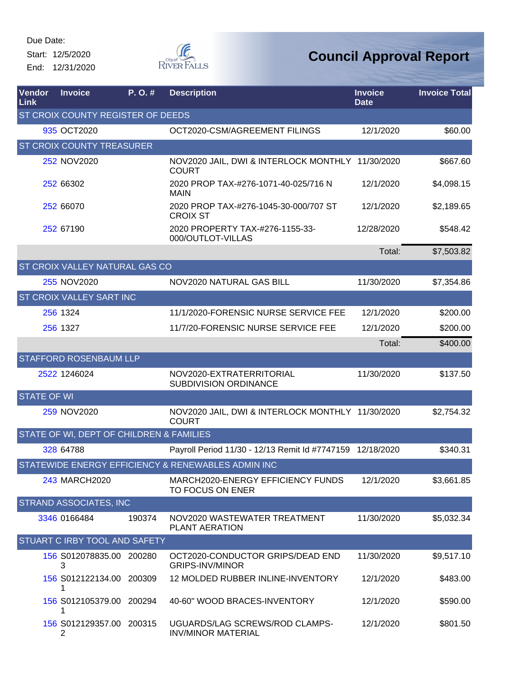Start: 12/5/2020 End: 12/31/2020



| Vendor<br>Link     | <b>Invoice</b>                             | P.O.#  | <b>Description</b>                                               | <b>Invoice</b><br><b>Date</b> | <b>Invoice Total</b> |  |
|--------------------|--------------------------------------------|--------|------------------------------------------------------------------|-------------------------------|----------------------|--|
|                    | <b>ST CROIX COUNTY REGISTER OF DEEDS</b>   |        |                                                                  |                               |                      |  |
|                    | 935 OCT2020                                |        | OCT2020-CSM/AGREEMENT FILINGS                                    | 12/1/2020                     | \$60.00              |  |
|                    | <b>ST CROIX COUNTY TREASURER</b>           |        |                                                                  |                               |                      |  |
|                    | 252 NOV2020                                |        | NOV2020 JAIL, DWI & INTERLOCK MONTHLY 11/30/2020<br><b>COURT</b> |                               | \$667.60             |  |
|                    | 252 66302                                  |        | 2020 PROP TAX-#276-1071-40-025/716 N<br>MAIN                     | 12/1/2020                     | \$4,098.15           |  |
|                    | 252 66070                                  |        | 2020 PROP TAX-#276-1045-30-000/707 ST<br><b>CROIX ST</b>         | 12/1/2020                     | \$2,189.65           |  |
|                    | 252 67190                                  |        | 2020 PROPERTY TAX-#276-1155-33-<br>000/OUTLOT-VILLAS             | 12/28/2020                    | \$548.42             |  |
|                    |                                            |        |                                                                  | Total:                        | \$7,503.82           |  |
|                    | <b>ST CROIX VALLEY NATURAL GAS CO</b>      |        |                                                                  |                               |                      |  |
|                    | 255 NOV2020                                |        | NOV2020 NATURAL GAS BILL                                         | 11/30/2020                    | \$7,354.86           |  |
|                    | <b>ST CROIX VALLEY SART INC</b>            |        |                                                                  |                               |                      |  |
|                    | 256 1324                                   |        | 11/1/2020-FORENSIC NURSE SERVICE FEE                             | 12/1/2020                     | \$200.00             |  |
|                    | 256 1327                                   |        | 11/7/20-FORENSIC NURSE SERVICE FEE                               | 12/1/2020                     | \$200.00             |  |
|                    |                                            |        |                                                                  | Total:                        | \$400.00             |  |
|                    | <b>STAFFORD ROSENBAUM LLP</b>              |        |                                                                  |                               |                      |  |
|                    | 2522 1246024                               |        | NOV2020-EXTRATERRITORIAL<br>SUBDIVISION ORDINANCE                | 11/30/2020                    | \$137.50             |  |
| <b>STATE OF WI</b> |                                            |        |                                                                  |                               |                      |  |
|                    | 259 NOV2020                                |        | NOV2020 JAIL, DWI & INTERLOCK MONTHLY 11/30/2020<br><b>COURT</b> |                               | \$2,754.32           |  |
|                    | STATE OF WI, DEPT OF CHILDREN & FAMILIES   |        |                                                                  |                               |                      |  |
|                    | 328 64788                                  |        | Payroll Period 11/30 - 12/13 Remit Id #7747159                   | 12/18/2020                    | \$340.31             |  |
|                    |                                            |        | STATEWIDE ENERGY EFFICIENCY & RENEWABLES ADMIN INC               |                               |                      |  |
|                    | 243 MARCH2020                              |        | MARCH2020-ENERGY EFFICIENCY FUNDS<br>TO FOCUS ON ENER            | 12/1/2020                     | \$3,661.85           |  |
|                    | STRAND ASSOCIATES, INC                     |        |                                                                  |                               |                      |  |
|                    | 3346 0166484                               | 190374 | NOV2020 WASTEWATER TREATMENT<br>PLANT AERATION                   | 11/30/2020                    | \$5,032.34           |  |
|                    | <b>STUART C IRBY TOOL AND SAFETY</b>       |        |                                                                  |                               |                      |  |
|                    | 156 S012078835.00 200280<br>3              |        | OCT2020-CONDUCTOR GRIPS/DEAD END<br><b>GRIPS-INV/MINOR</b>       | 11/30/2020                    | \$9,517.10           |  |
|                    | 156 S012122134.00 200309<br>1              |        | 12 MOLDED RUBBER INLINE-INVENTORY                                | 12/1/2020                     | \$483.00             |  |
|                    | 156 S012105379.00 200294<br>1              |        | 40-60" WOOD BRACES-INVENTORY                                     | 12/1/2020                     | \$590.00             |  |
|                    | 156 S012129357.00 200315<br>$\overline{2}$ |        | UGUARDS/LAG SCREWS/ROD CLAMPS-<br><b>INV/MINOR MATERIAL</b>      | 12/1/2020                     | \$801.50             |  |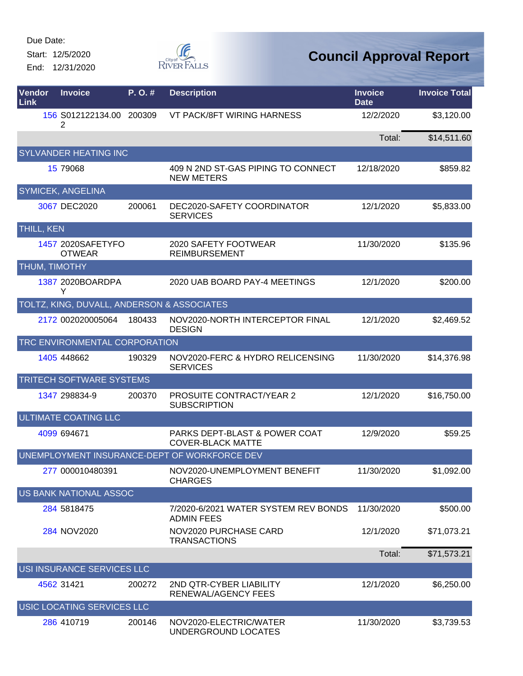Start: 12/5/2020 End: 12/31/2020



| Vendor<br>Link       | <b>Invoice</b>                             | P.O.#  | <b>Description</b>                                                   | <b>Invoice</b><br><b>Date</b> | <b>Invoice Total</b> |
|----------------------|--------------------------------------------|--------|----------------------------------------------------------------------|-------------------------------|----------------------|
|                      | 156 S012122134.00 200309<br>2              |        | VT PACK/8FT WIRING HARNESS                                           | 12/2/2020                     | \$3,120.00           |
|                      |                                            |        |                                                                      | Total:                        | \$14,511.60          |
|                      | <b>SYLVANDER HEATING INC</b>               |        |                                                                      |                               |                      |
|                      | 15 79068                                   |        | 409 N 2ND ST-GAS PIPING TO CONNECT<br><b>NEW METERS</b>              | 12/18/2020                    | \$859.82             |
|                      | <b>SYMICEK, ANGELINA</b>                   |        |                                                                      |                               |                      |
|                      | 3067 DEC2020                               | 200061 | DEC2020-SAFETY COORDINATOR<br><b>SERVICES</b>                        | 12/1/2020                     | \$5,833.00           |
| <b>THILL, KEN</b>    |                                            |        |                                                                      |                               |                      |
|                      | 1457 2020SAFETYFO<br><b>OTWEAR</b>         |        | 2020 SAFETY FOOTWEAR<br><b>REIMBURSEMENT</b>                         | 11/30/2020                    | \$135.96             |
| <b>THUM, TIMOTHY</b> |                                            |        |                                                                      |                               |                      |
|                      | 1387 2020BOARDPA<br>Y                      |        | 2020 UAB BOARD PAY-4 MEETINGS                                        | 12/1/2020                     | \$200.00             |
|                      | TOLTZ, KING, DUVALL, ANDERSON & ASSOCIATES |        |                                                                      |                               |                      |
|                      | 2172 002020005064                          | 180433 | NOV2020-NORTH INTERCEPTOR FINAL<br><b>DESIGN</b>                     | 12/1/2020                     | \$2,469.52           |
|                      | TRC ENVIRONMENTAL CORPORATION              |        |                                                                      |                               |                      |
|                      | 1405 448662                                | 190329 | NOV2020-FERC & HYDRO RELICENSING<br><b>SERVICES</b>                  | 11/30/2020                    | \$14,376.98          |
|                      | TRITECH SOFTWARE SYSTEMS                   |        |                                                                      |                               |                      |
|                      | 1347 298834-9                              | 200370 | <b>PROSUITE CONTRACT/YEAR 2</b><br><b>SUBSCRIPTION</b>               | 12/1/2020                     | \$16,750.00          |
|                      | <b>ULTIMATE COATING LLC</b>                |        |                                                                      |                               |                      |
|                      | 4099 694671                                |        | <b>PARKS DEPT-BLAST &amp; POWER COAT</b><br><b>COVER-BLACK MATTE</b> | 12/9/2020                     | \$59.25              |
|                      |                                            |        | UNEMPLOYMENT INSURANCE-DEPT OF WORKFORCE DEV                         |                               |                      |
|                      | 277 000010480391                           |        | NOV2020-UNEMPLOYMENT BENEFIT<br><b>CHARGES</b>                       | 11/30/2020                    | \$1,092.00           |
|                      | <b>US BANK NATIONAL ASSOC</b>              |        |                                                                      |                               |                      |
|                      | 284 5818475                                |        | 7/2020-6/2021 WATER SYSTEM REV BONDS<br><b>ADMIN FEES</b>            | 11/30/2020                    | \$500.00             |
|                      | 284 NOV2020                                |        | NOV2020 PURCHASE CARD<br><b>TRANSACTIONS</b>                         | 12/1/2020                     | \$71,073.21          |
|                      |                                            |        |                                                                      | Total:                        | \$71,573.21          |
|                      | USI INSURANCE SERVICES LLC                 |        |                                                                      |                               |                      |
|                      | 4562 31421                                 | 200272 | 2ND QTR-CYBER LIABILITY<br>RENEWAL/AGENCY FEES                       | 12/1/2020                     | \$6,250.00           |
|                      | USIC LOCATING SERVICES LLC                 |        |                                                                      |                               |                      |
|                      | 286 410719                                 | 200146 | NOV2020-ELECTRIC/WATER<br>UNDERGROUND LOCATES                        | 11/30/2020                    | \$3,739.53           |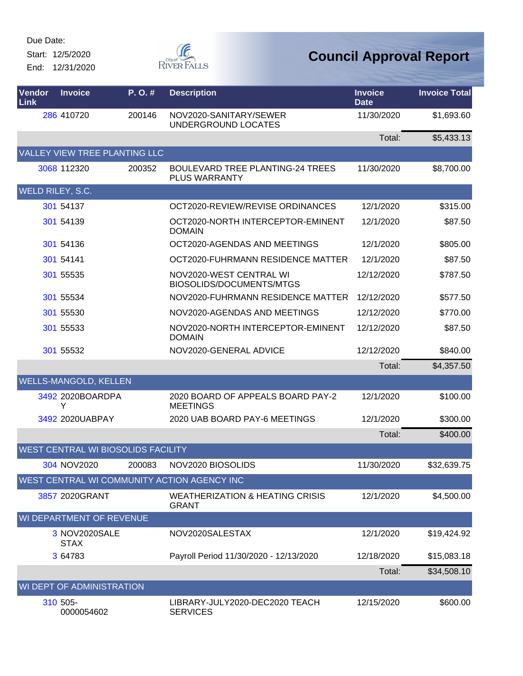Start: 12/5/2020 End: 12/31/2020



| Vendor<br>Link           | <b>Invoice</b>                            | P.O.#  | <b>Description</b>                                              | <b>Invoice</b><br><b>Date</b> | <b>Invoice Total</b> |  |
|--------------------------|-------------------------------------------|--------|-----------------------------------------------------------------|-------------------------------|----------------------|--|
|                          | 286 410720                                | 200146 | NOV2020-SANITARY/SEWER<br>UNDERGROUND LOCATES                   | 11/30/2020                    | \$1,693.60           |  |
|                          |                                           |        |                                                                 | Total:                        | \$5,433.13           |  |
|                          | VALLEY VIEW TREE PLANTING LLC             |        |                                                                 |                               |                      |  |
|                          | 3068 112320                               | 200352 | <b>BOULEVARD TREE PLANTING-24 TREES</b><br><b>PLUS WARRANTY</b> | 11/30/2020                    | \$8,700.00           |  |
| WELD RILEY, S.C.         |                                           |        |                                                                 |                               |                      |  |
|                          | 301 54137                                 |        | OCT2020-REVIEW/REVISE ORDINANCES                                | 12/1/2020                     | \$315.00             |  |
|                          | 301 54139                                 |        | OCT2020-NORTH INTERCEPTOR-EMINENT<br><b>DOMAIN</b>              | 12/1/2020                     | \$87.50              |  |
|                          | 301 54136                                 |        | OCT2020-AGENDAS AND MEETINGS                                    | 12/1/2020                     | \$805.00             |  |
|                          | 301 54141                                 |        | OCT2020-FUHRMANN RESIDENCE MATTER                               | 12/1/2020                     | \$87.50              |  |
|                          | 301 55535                                 |        | NOV2020-WEST CENTRAL WI<br>BIOSOLIDS/DOCUMENTS/MTGS             | 12/12/2020                    | \$787.50             |  |
|                          | 301 55534                                 |        | NOV2020-FUHRMANN RESIDENCE MATTER                               | 12/12/2020                    | \$577.50             |  |
|                          | 301 55530                                 |        | NOV2020-AGENDAS AND MEETINGS                                    | 12/12/2020                    | \$770.00             |  |
|                          | 301 55533                                 |        | NOV2020-NORTH INTERCEPTOR-EMINENT<br><b>DOMAIN</b>              | 12/12/2020                    | \$87.50              |  |
|                          | 301 55532                                 |        | NOV2020-GENERAL ADVICE                                          | 12/12/2020                    | \$840.00             |  |
|                          |                                           |        |                                                                 | Total:                        | \$4,357.50           |  |
|                          | <b>WELLS-MANGOLD, KELLEN</b>              |        |                                                                 |                               |                      |  |
|                          | 3492 2020BOARDPA<br>Y                     |        | 2020 BOARD OF APPEALS BOARD PAY-2<br><b>MEETINGS</b>            | 12/1/2020                     | \$100.00             |  |
|                          | 3492 2020UABPAY                           |        | 2020 UAB BOARD PAY-6 MEETINGS                                   | 12/1/2020                     | \$300.00             |  |
|                          |                                           |        |                                                                 | Total:                        | \$400.00             |  |
|                          | <b>WEST CENTRAL WI BIOSOLIDS FACILITY</b> |        |                                                                 |                               |                      |  |
|                          | 304 NOV2020                               | 200083 | NOV2020 BIOSOLIDS                                               | 11/30/2020                    | \$32,639.75          |  |
|                          |                                           |        | WEST CENTRAL WI COMMUNITY ACTION AGENCY INC                     |                               |                      |  |
|                          | 3857 2020GRANT                            |        | <b>WEATHERIZATION &amp; HEATING CRISIS</b><br><b>GRANT</b>      | 12/1/2020                     | \$4,500.00           |  |
| WI DEPARTMENT OF REVENUE |                                           |        |                                                                 |                               |                      |  |
|                          | 3 NOV2020SALE<br><b>STAX</b>              |        | NOV2020SALESTAX                                                 | 12/1/2020                     | \$19,424.92          |  |
|                          | 3 64783                                   |        | Payroll Period 11/30/2020 - 12/13/2020                          | 12/18/2020                    | \$15,083.18          |  |
|                          |                                           |        |                                                                 | Total:                        | \$34,508.10          |  |
|                          | WI DEPT OF ADMINISTRATION                 |        |                                                                 |                               |                      |  |
|                          | 310 505-<br>0000054602                    |        | LIBRARY-JULY2020-DEC2020 TEACH<br><b>SERVICES</b>               | 12/15/2020                    | \$600.00             |  |